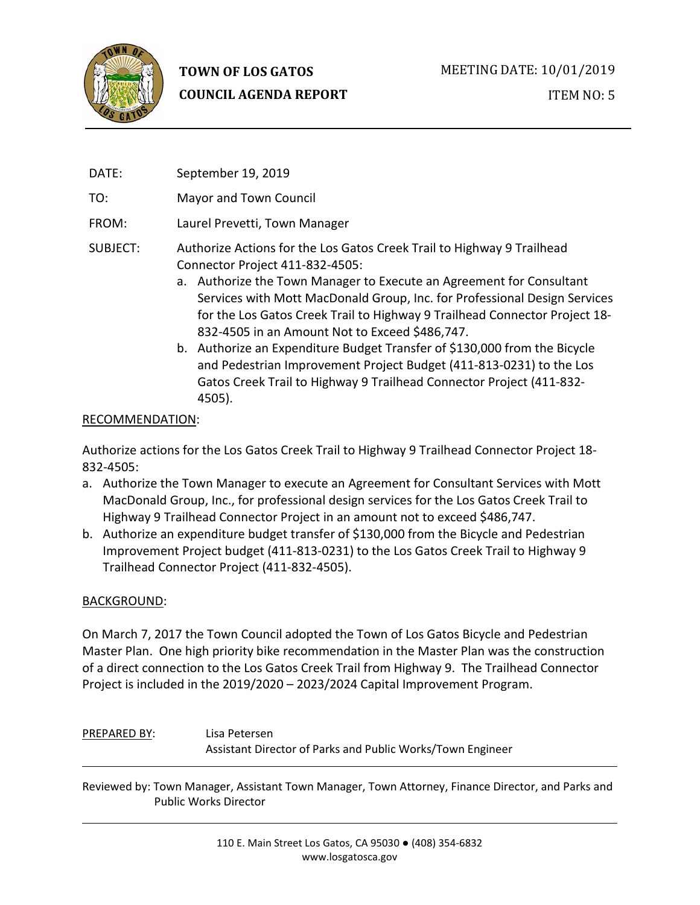

# **TOWN OF LOS GATOS COUNCIL AGENDA REPORT**

ITEM NO: 5

DATE: September 19, 2019

TO: Mayor and Town Council

- FROM: Laurel Prevetti, Town Manager
- SUBJECT: Authorize Actions for the Los Gatos Creek Trail to Highway 9 Trailhead Connector Project 411-832-4505:
	- a. Authorize the Town Manager to Execute an Agreement for Consultant Services with Mott MacDonald Group, Inc. for Professional Design Services for the Los Gatos Creek Trail to Highway 9 Trailhead Connector Project 18- 832-4505 in an Amount Not to Exceed \$486,747.
	- b. Authorize an Expenditure Budget Transfer of \$130,000 from the Bicycle and Pedestrian Improvement Project Budget (411-813-0231) to the Los Gatos Creek Trail to Highway 9 Trailhead Connector Project (411-832- 4505).

#### RECOMMENDATION:

Authorize actions for the Los Gatos Creek Trail to Highway 9 Trailhead Connector Project 18- 832-4505:

- a. Authorize the Town Manager to execute an Agreement for Consultant Services with Mott MacDonald Group, Inc., for professional design services for the Los Gatos Creek Trail to Highway 9 Trailhead Connector Project in an amount not to exceed \$486,747.
- b. Authorize an expenditure budget transfer of \$130,000 from the Bicycle and Pedestrian Improvement Project budget (411-813-0231) to the Los Gatos Creek Trail to Highway 9 Trailhead Connector Project (411-832-4505).

#### BACKGROUND:

On March 7, 2017 the Town Council adopted the Town of Los Gatos Bicycle and Pedestrian Master Plan. One high priority bike recommendation in the Master Plan was the construction of a direct connection to the Los Gatos Creek Trail from Highway 9. The Trailhead Connector Project is included in the 2019/2020 – 2023/2024 Capital Improvement Program.

# PREPARED BY: Lisa Petersen Assistant Director of Parks and Public Works/Town Engineer

Reviewed by: Town Manager, Assistant Town Manager, Town Attorney, Finance Director, and Parks and Public Works Director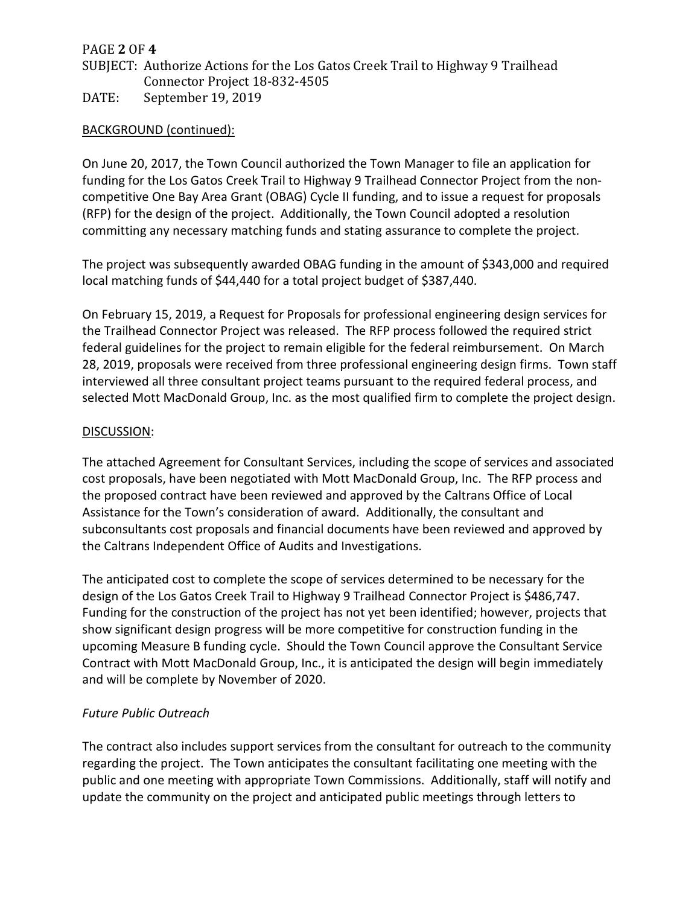## PAGE **2** OF **4**

# SUBJECT: Authorize Actions for the Los Gatos Creek Trail to Highway 9 Trailhead Connector Project 18-832-4505

DATE: September 19, 2019

#### BACKGROUND (continued):

On June 20, 2017, the Town Council authorized the Town Manager to file an application for funding for the Los Gatos Creek Trail to Highway 9 Trailhead Connector Project from the noncompetitive One Bay Area Grant (OBAG) Cycle II funding, and to issue a request for proposals (RFP) for the design of the project. Additionally, the Town Council adopted a resolution committing any necessary matching funds and stating assurance to complete the project.

The project was subsequently awarded OBAG funding in the amount of \$343,000 and required local matching funds of \$44,440 for a total project budget of \$387,440.

On February 15, 2019, a Request for Proposals for professional engineering design services for the Trailhead Connector Project was released. The RFP process followed the required strict federal guidelines for the project to remain eligible for the federal reimbursement. On March 28, 2019, proposals were received from three professional engineering design firms. Town staff interviewed all three consultant project teams pursuant to the required federal process, and selected Mott MacDonald Group, Inc. as the most qualified firm to complete the project design.

#### DISCUSSION:

The attached Agreement for Consultant Services, including the scope of services and associated cost proposals, have been negotiated with Mott MacDonald Group, Inc. The RFP process and the proposed contract have been reviewed and approved by the Caltrans Office of Local Assistance for the Town's consideration of award. Additionally, the consultant and subconsultants cost proposals and financial documents have been reviewed and approved by the Caltrans Independent Office of Audits and Investigations.

The anticipated cost to complete the scope of services determined to be necessary for the design of the Los Gatos Creek Trail to Highway 9 Trailhead Connector Project is \$486,747. Funding for the construction of the project has not yet been identified; however, projects that show significant design progress will be more competitive for construction funding in the upcoming Measure B funding cycle. Should the Town Council approve the Consultant Service Contract with Mott MacDonald Group, Inc., it is anticipated the design will begin immediately and will be complete by November of 2020.

#### *Future Public Outreach*

The contract also includes support services from the consultant for outreach to the community regarding the project. The Town anticipates the consultant facilitating one meeting with the public and one meeting with appropriate Town Commissions. Additionally, staff will notify and update the community on the project and anticipated public meetings through letters to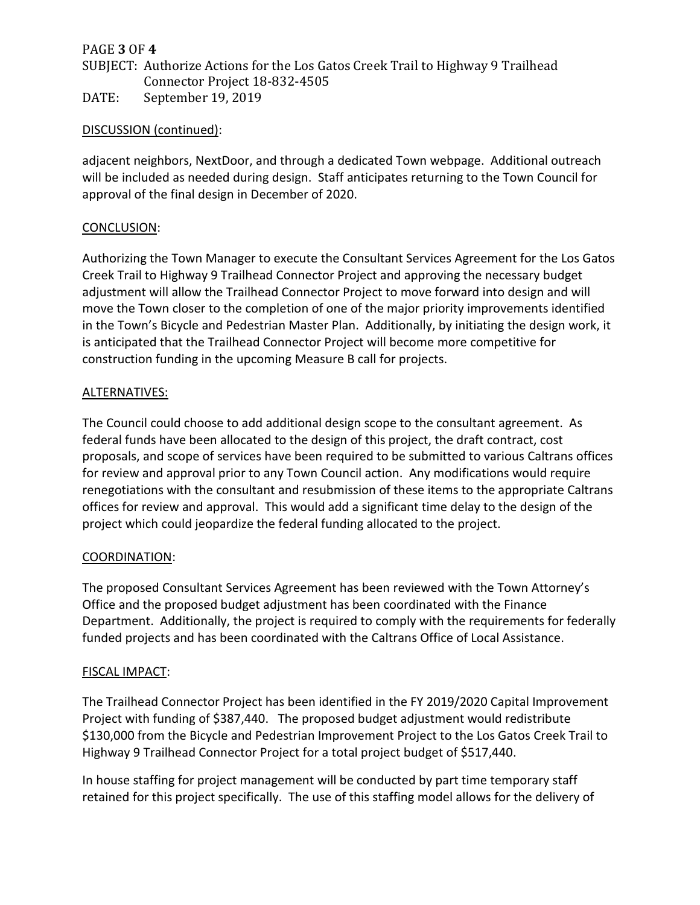#### PAGE **3** OF **4**

SUBJECT: Authorize Actions for the Los Gatos Creek Trail to Highway 9 Trailhead Connector Project 18-832-4505

DATE: September 19, 2019

#### DISCUSSION (continued):

adjacent neighbors, NextDoor, and through a dedicated Town webpage. Additional outreach will be included as needed during design. Staff anticipates returning to the Town Council for approval of the final design in December of 2020.

#### CONCLUSION:

Authorizing the Town Manager to execute the Consultant Services Agreement for the Los Gatos Creek Trail to Highway 9 Trailhead Connector Project and approving the necessary budget adjustment will allow the Trailhead Connector Project to move forward into design and will move the Town closer to the completion of one of the major priority improvements identified in the Town's Bicycle and Pedestrian Master Plan. Additionally, by initiating the design work, it is anticipated that the Trailhead Connector Project will become more competitive for construction funding in the upcoming Measure B call for projects.

#### ALTERNATIVES:

The Council could choose to add additional design scope to the consultant agreement. As federal funds have been allocated to the design of this project, the draft contract, cost proposals, and scope of services have been required to be submitted to various Caltrans offices for review and approval prior to any Town Council action. Any modifications would require renegotiations with the consultant and resubmission of these items to the appropriate Caltrans offices for review and approval. This would add a significant time delay to the design of the project which could jeopardize the federal funding allocated to the project.

#### COORDINATION:

The proposed Consultant Services Agreement has been reviewed with the Town Attorney's Office and the proposed budget adjustment has been coordinated with the Finance Department. Additionally, the project is required to comply with the requirements for federally funded projects and has been coordinated with the Caltrans Office of Local Assistance.

#### FISCAL IMPACT:

The Trailhead Connector Project has been identified in the FY 2019/2020 Capital Improvement Project with funding of \$387,440. The proposed budget adjustment would redistribute \$130,000 from the Bicycle and Pedestrian Improvement Project to the Los Gatos Creek Trail to Highway 9 Trailhead Connector Project for a total project budget of \$517,440.

In house staffing for project management will be conducted by part time temporary staff retained for this project specifically. The use of this staffing model allows for the delivery of